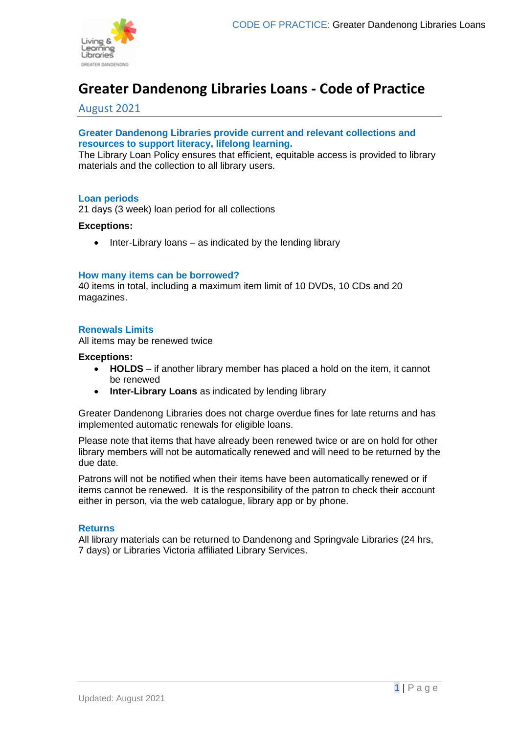

# **Greater Dandenong Libraries Loans - Code of Practice**

## August 2021

## **Greater Dandenong Libraries provide current and relevant collections and resources to support literacy, lifelong learning.**

The Library Loan Policy ensures that efficient, equitable access is provided to library materials and the collection to all library users.

#### **Loan periods**

21 days (3 week) loan period for all collections

#### **Exceptions:**

• Inter-Library loans – as indicated by the lending library

#### **How many items can be borrowed?**

40 items in total, including a maximum item limit of 10 DVDs, 10 CDs and 20 magazines.

## **Renewals Limits**

All items may be renewed twice

#### **Exceptions:**

- **HOLDS** if another library member has placed a hold on the item, it cannot be renewed
- **Inter-Library Loans** as indicated by lending library

Greater Dandenong Libraries does not charge overdue fines for late returns and has implemented automatic renewals for eligible loans.

Please note that items that have already been renewed twice or are on hold for other library members will not be automatically renewed and will need to be returned by the due date.

Patrons will not be notified when their items have been automatically renewed or if items cannot be renewed. It is the responsibility of the patron to check their account either in person, via the web catalogue, library app or by phone.

#### **Returns**

All library materials can be returned to Dandenong and Springvale Libraries (24 hrs, 7 days) or Libraries Victoria affiliated Library Services.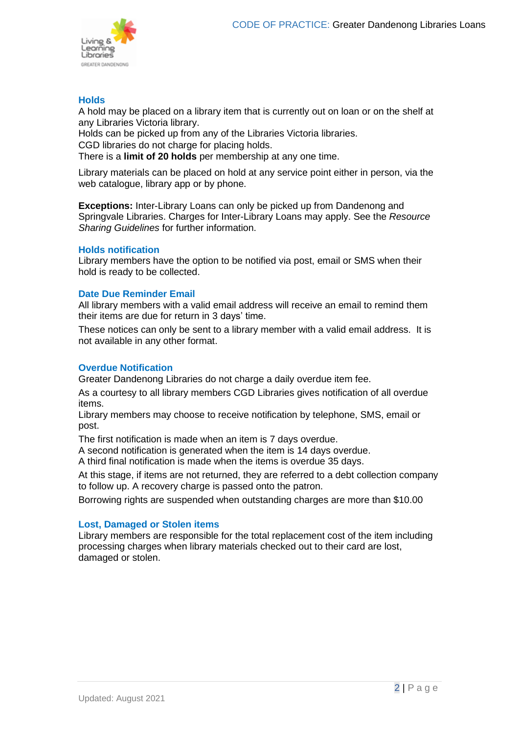

## **Holds**

A hold may be placed on a library item that is currently out on loan or on the shelf at any Libraries Victoria library.

Holds can be picked up from any of the Libraries Victoria libraries. CGD libraries do not charge for placing holds. There is a **limit of 20 holds** per membership at any one time.

Library materials can be placed on hold at any service point either in person, via the web catalogue, library app or by phone.

**Exceptions:** Inter-Library Loans can only be picked up from Dandenong and Springvale Libraries. Charges for Inter-Library Loans may apply. See the *Resource Sharing Guidelines* for further information.

## **Holds notification**

Library members have the option to be notified via post, email or SMS when their hold is ready to be collected.

## **Date Due Reminder Email**

All library members with a valid email address will receive an email to remind them their items are due for return in 3 days' time.

These notices can only be sent to a library member with a valid email address. It is not available in any other format.

## **Overdue Notification**

Greater Dandenong Libraries do not charge a daily overdue item fee.

As a courtesy to all library members CGD Libraries gives notification of all overdue items.

Library members may choose to receive notification by telephone, SMS, email or post.

The first notification is made when an item is 7 days overdue.

A second notification is generated when the item is 14 days overdue.

A third final notification is made when the items is overdue 35 days.

At this stage, if items are not returned, they are referred to a debt collection company to follow up. A recovery charge is passed onto the patron.

Borrowing rights are suspended when outstanding charges are more than \$10.00

## **Lost, Damaged or Stolen items**

Library members are responsible for the total replacement cost of the item including processing charges when library materials checked out to their card are lost, damaged or stolen.